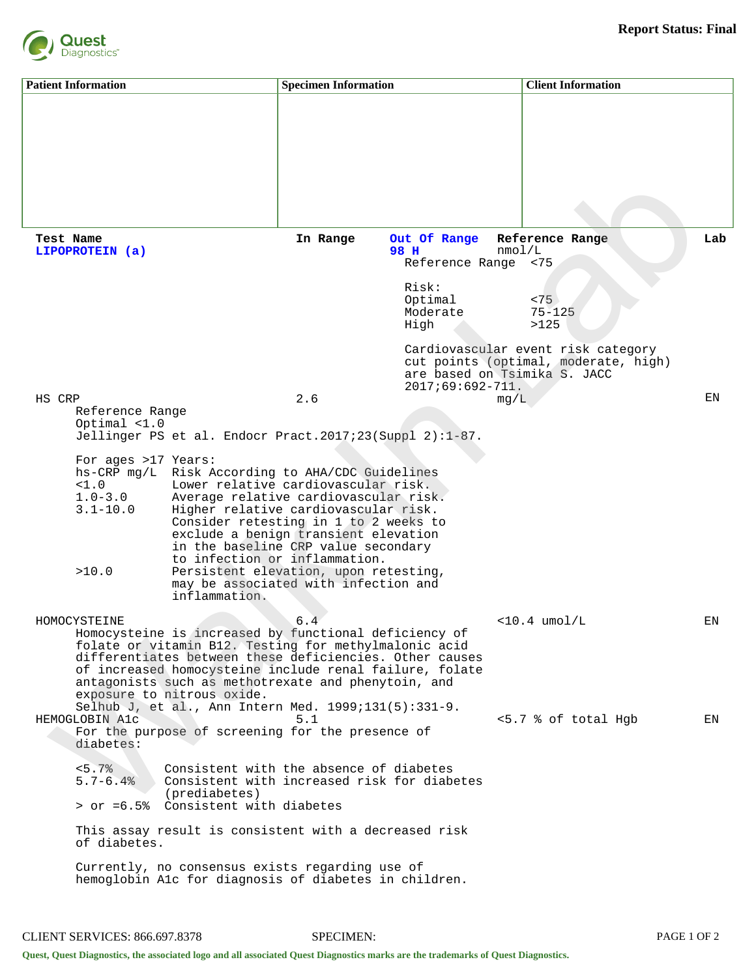

| <b>Patient Information</b>                             |                                                                                                                                                                                                                                                                                                                                                                                                                                                                                                                                                                                    | <b>Specimen Information</b> |                                                                                                           | <b>Client Information</b>                                                                                                                                             |          |  |  |
|--------------------------------------------------------|------------------------------------------------------------------------------------------------------------------------------------------------------------------------------------------------------------------------------------------------------------------------------------------------------------------------------------------------------------------------------------------------------------------------------------------------------------------------------------------------------------------------------------------------------------------------------------|-----------------------------|-----------------------------------------------------------------------------------------------------------|-----------------------------------------------------------------------------------------------------------------------------------------------------------------------|----------|--|--|
|                                                        |                                                                                                                                                                                                                                                                                                                                                                                                                                                                                                                                                                                    |                             |                                                                                                           |                                                                                                                                                                       |          |  |  |
| Test Name<br>LIPOPROTEIN (a)                           |                                                                                                                                                                                                                                                                                                                                                                                                                                                                                                                                                                                    | In Range                    | Out Of Range<br>98 H<br>Reference Range <75<br>Risk:<br>Optimal<br>Moderate<br>High<br>$2017;69:692-711.$ | Reference Range<br>nmod/L<br>< 75<br>$75 - 125$<br>>125<br>Cardiovascular event risk category<br>cut points (optimal, moderate, high)<br>are based on Tsimika S. JACC | Lab      |  |  |
| HS CRP<br><1.0<br>$1.0 - 3.0$<br>$3.1 - 10.0$<br>>10.0 | 2.6<br>ΕN<br>mg/L<br>Reference Range<br>Optimal $<1.0$<br>Jellinger PS et al. Endocr Pract.2017;23(Suppl $2$ ):1-87.<br>For ages >17 Years:<br>hs-CRP mg/L Risk According to AHA/CDC Guidelines<br>Lower relative cardiovascular risk.<br>Average relative cardiovascular risk.<br>Higher relative cardiovascular risk.<br>Consider retesting in 1 to 2 weeks to<br>exclude a benign transient elevation<br>in the baseline CRP value secondary<br>to infection or inflammation.<br>Persistent elevation, upon retesting,<br>may be associated with infection and<br>inflammation. |                             |                                                                                                           |                                                                                                                                                                       |          |  |  |
| HOMOCYSTEINE<br>HEMOGLOBIN A1c<br>diabetes:            | Homocysteine is increased by functional deficiency of<br>folate or vitamin B12. Testing for methylmalonic acid<br>differentiates between these deficiencies. Other causes<br>of increased homocysteine include renal failure, folate<br>antagonists such as methotrexate and phenytoin, and<br>exposure to nitrous oxide.<br>Selhub J, et al., Ann Intern Med. 1999;131(5):331-9.<br>For the purpose of screening for the presence of                                                                                                                                              | 6.4<br>5.1                  |                                                                                                           | $<$ 10.4 umol/L<br><5.7 % of total Hgb                                                                                                                                | ΕN<br>ΕN |  |  |
| < 5.7%<br>$5.7 - 6.4%$<br>of diabetes.                 | Consistent with the absence of diabetes<br>Consistent with increased risk for diabetes<br>(prediabetes)<br>> or =6.5% Consistent with diabetes<br>This assay result is consistent with a decreased risk<br>Currently, no consensus exists regarding use of<br>hemoglobin Alc for diagnosis of diabetes in children.                                                                                                                                                                                                                                                                |                             |                                                                                                           |                                                                                                                                                                       |          |  |  |